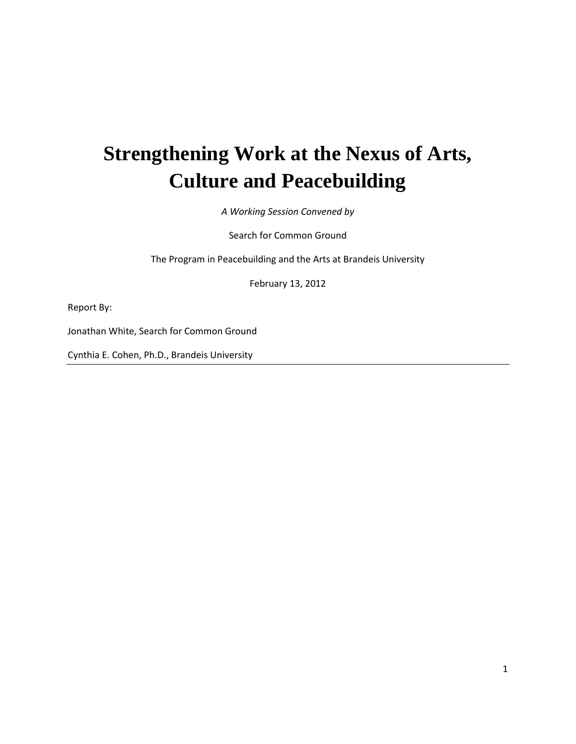# **Strengthening Work at the Nexus of Arts, Culture and Peacebuilding**

*A Working Session Convened by*

Search for Common Ground

The Program in Peacebuilding and the Arts at Brandeis University

February 13, 2012

Report By:

Jonathan White, Search for Common Ground

Cynthia E. Cohen, Ph.D., Brandeis University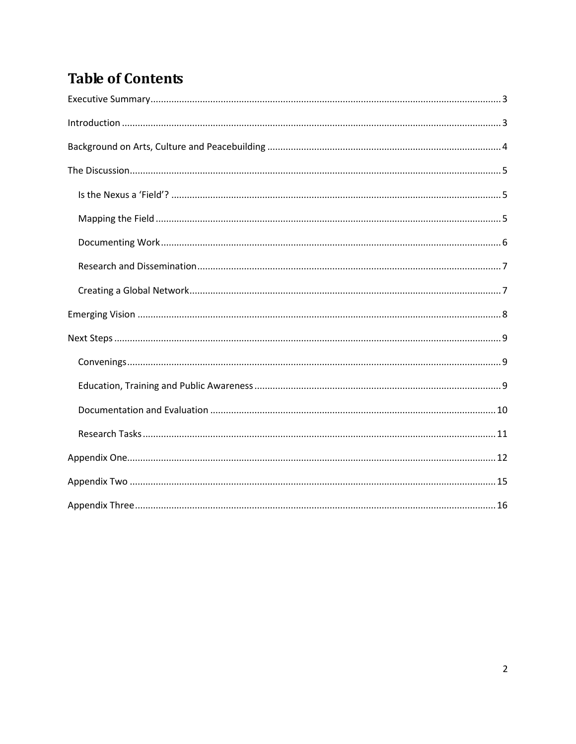# **Table of Contents**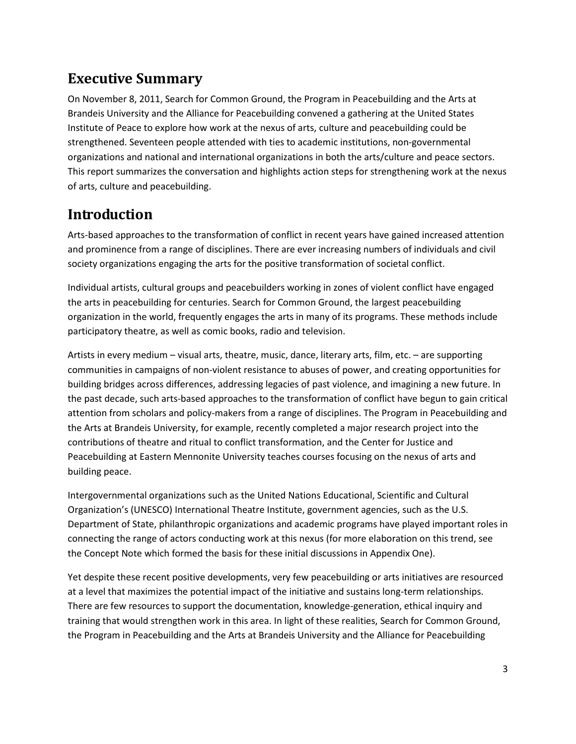# <span id="page-2-0"></span>**Executive Summary**

On November 8, 2011, Search for Common Ground, the Program in Peacebuilding and the Arts at Brandeis University and the Alliance for Peacebuilding convened a gathering at the United States Institute of Peace to explore how work at the nexus of arts, culture and peacebuilding could be strengthened. Seventeen people attended with ties to academic institutions, non-governmental organizations and national and international organizations in both the arts/culture and peace sectors. This report summarizes the conversation and highlights action steps for strengthening work at the nexus of arts, culture and peacebuilding.

## <span id="page-2-1"></span>**Introduction**

Arts-based approaches to the transformation of conflict in recent years have gained increased attention and prominence from a range of disciplines. There are ever increasing numbers of individuals and civil society organizations engaging the arts for the positive transformation of societal conflict.

Individual artists, cultural groups and peacebuilders working in zones of violent conflict have engaged the arts in peacebuilding for centuries. Search for Common Ground, the largest peacebuilding organization in the world, frequently engages the arts in many of its programs. These methods include participatory theatre, as well as comic books, radio and television.

Artists in every medium – visual arts, theatre, music, dance, literary arts, film, etc. – are supporting communities in campaigns of non-violent resistance to abuses of power, and creating opportunities for building bridges across differences, addressing legacies of past violence, and imagining a new future. In the past decade, such arts-based approaches to the transformation of conflict have begun to gain critical attention from scholars and policy-makers from a range of disciplines. The Program in Peacebuilding and the Arts at Brandeis University, for example, recently completed a major research project into the contributions of theatre and ritual to conflict transformation, and the Center for Justice and Peacebuilding at Eastern Mennonite University teaches courses focusing on the nexus of arts and building peace.

Intergovernmental organizations such as the United Nations Educational, Scientific and Cultural Organization's (UNESCO) International Theatre Institute, government agencies, such as the U.S. Department of State, philanthropic organizations and academic programs have played important roles in connecting the range of actors conducting work at this nexus (for more elaboration on this trend, see the Concept Note which formed the basis for these initial discussions in Appendix One).

Yet despite these recent positive developments, very few peacebuilding or arts initiatives are resourced at a level that maximizes the potential impact of the initiative and sustains long-term relationships. There are few resources to support the documentation, knowledge-generation, ethical inquiry and training that would strengthen work in this area. In light of these realities, Search for Common Ground, the Program in Peacebuilding and the Arts at Brandeis University and the Alliance for Peacebuilding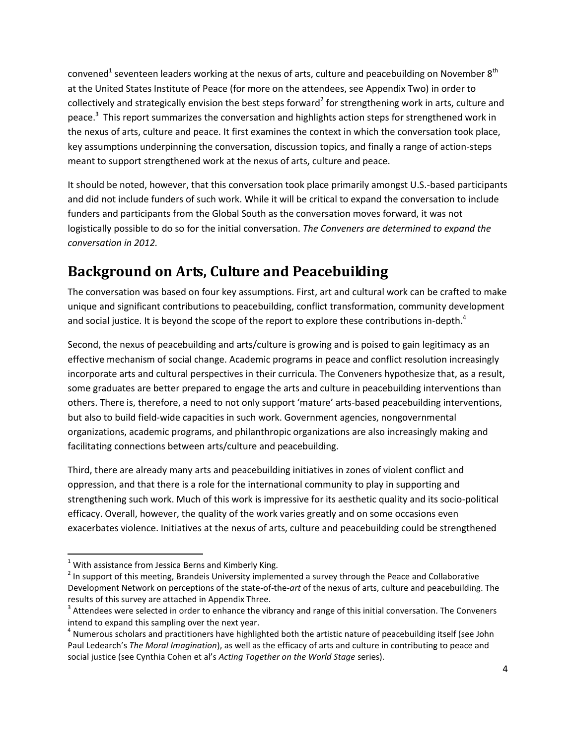convened<sup>1</sup> seventeen leaders working at the nexus of arts, culture and peacebuilding on November 8<sup>th</sup> at the United States Institute of Peace (for more on the attendees, see Appendix Two) in order to collectively and strategically envision the best steps forward<sup>2</sup> for strengthening work in arts, culture and peace.<sup>3</sup> This report summarizes the conversation and highlights action steps for strengthened work in the nexus of arts, culture and peace. It first examines the context in which the conversation took place, key assumptions underpinning the conversation, discussion topics, and finally a range of action-steps meant to support strengthened work at the nexus of arts, culture and peace.

It should be noted, however, that this conversation took place primarily amongst U.S.-based participants and did not include funders of such work. While it will be critical to expand the conversation to include funders and participants from the Global South as the conversation moves forward, it was not logistically possible to do so for the initial conversation. *The Conveners are determined to expand the conversation in 2012.*

# <span id="page-3-0"></span>**Background on Arts, Culture and Peacebuilding**

The conversation was based on four key assumptions. First, art and cultural work can be crafted to make unique and significant contributions to peacebuilding, conflict transformation, community development and social justice. It is beyond the scope of the report to explore these contributions in-depth.<sup>4</sup>

Second, the nexus of peacebuilding and arts/culture is growing and is poised to gain legitimacy as an effective mechanism of social change. Academic programs in peace and conflict resolution increasingly incorporate arts and cultural perspectives in their curricula. The Conveners hypothesize that, as a result, some graduates are better prepared to engage the arts and culture in peacebuilding interventions than others. There is, therefore, a need to not only support 'mature' arts-based peacebuilding interventions, but also to build field-wide capacities in such work. Government agencies, nongovernmental organizations, academic programs, and philanthropic organizations are also increasingly making and facilitating connections between arts/culture and peacebuilding.

Third, there are already many arts and peacebuilding initiatives in zones of violent conflict and oppression, and that there is a role for the international community to play in supporting and strengthening such work. Much of this work is impressive for its aesthetic quality and its socio-political efficacy. Overall, however, the quality of the work varies greatly and on some occasions even exacerbates violence. Initiatives at the nexus of arts, culture and peacebuilding could be strengthened

 $\overline{\phantom{a}}$ 

 $1$  With assistance from Jessica Berns and Kimberly King.

 $2$  In support of this meeting, Brandeis University implemented a survey through the Peace and Collaborative Development Network on perceptions of the state-of-the-*art* of the nexus of arts, culture and peacebuilding. The results of this survey are attached in Appendix Three.

 $3$  Attendees were selected in order to enhance the vibrancy and range of this initial conversation. The Conveners intend to expand this sampling over the next year.

<sup>&</sup>lt;sup>4</sup> Numerous scholars and practitioners have highlighted both the artistic nature of peacebuilding itself (see John Paul Ledearch's *The Moral Imagination*), as well as the efficacy of arts and culture in contributing to peace and social justice (see Cynthia Cohen et al's *Acting Together on the World Stage* series).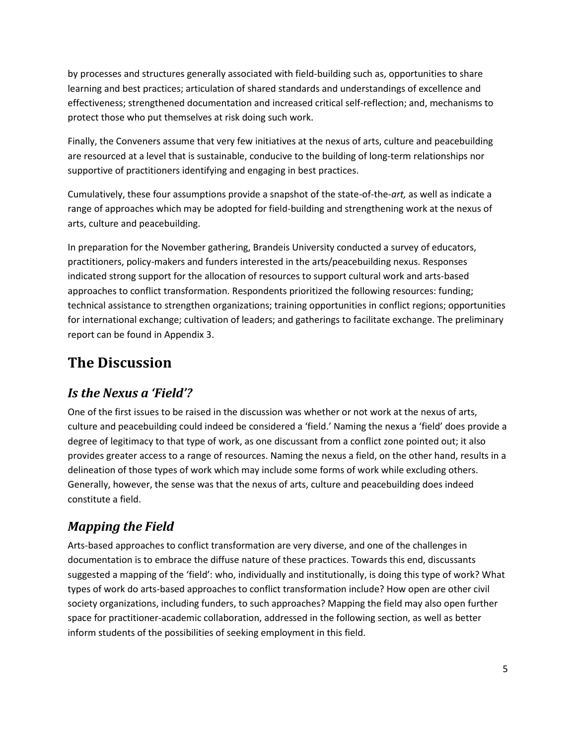by processes and structures generally associated with field-building such as, opportunities to share learning and best practices; articulation of shared standards and understandings of excellence and effectiveness; strengthened documentation and increased critical self-reflection; and, mechanisms to protect those who put themselves at risk doing such work.

Finally, the Conveners assume that very few initiatives at the nexus of arts, culture and peacebuilding are resourced at a level that is sustainable, conducive to the building of long-term relationships nor supportive of practitioners identifying and engaging in best practices.

Cumulatively, these four assumptions provide a snapshot of the state-of-the-*art,* as well as indicate a range of approaches which may be adopted for field-building and strengthening work at the nexus of arts, culture and peacebuilding.

In preparation for the November gathering, Brandeis University conducted a survey of educators, practitioners, policy-makers and funders interested in the arts/peacebuilding nexus. Responses indicated strong support for the allocation of resources to support cultural work and arts-based approaches to conflict transformation. Respondents prioritized the following resources: funding; technical assistance to strengthen organizations; training opportunities in conflict regions; opportunities for international exchange; cultivation of leaders; and gatherings to facilitate exchange. The preliminary report can be found in Appendix 3.

# <span id="page-4-0"></span>**The Discussion**

### <span id="page-4-1"></span>*Is the Nexus a 'Field'?*

One of the first issues to be raised in the discussion was whether or not work at the nexus of arts, culture and peacebuilding could indeed be considered a 'field.' Naming the nexus a 'field' does provide a degree of legitimacy to that type of work, as one discussant from a conflict zone pointed out; it also provides greater access to a range of resources. Naming the nexus a field, on the other hand, results in a delineation of those types of work which may include some forms of work while excluding others. Generally, however, the sense was that the nexus of arts, culture and peacebuilding does indeed constitute a field.

### <span id="page-4-2"></span>*Mapping the Field*

Arts-based approaches to conflict transformation are very diverse, and one of the challenges in documentation is to embrace the diffuse nature of these practices. Towards this end, discussants suggested a mapping of the 'field': who, individually and institutionally, is doing this type of work? What types of work do arts-based approaches to conflict transformation include? How open are other civil society organizations, including funders, to such approaches? Mapping the field may also open further space for practitioner-academic collaboration, addressed in the following section, as well as better inform students of the possibilities of seeking employment in this field.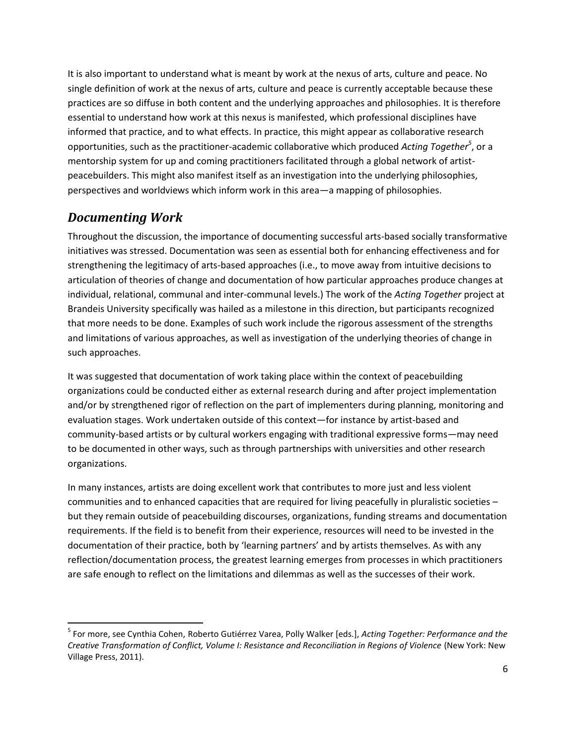It is also important to understand what is meant by work at the nexus of arts, culture and peace. No single definition of work at the nexus of arts, culture and peace is currently acceptable because these practices are so diffuse in both content and the underlying approaches and philosophies. It is therefore essential to understand how work at this nexus is manifested, which professional disciplines have informed that practice, and to what effects. In practice, this might appear as collaborative research opportunities, such as the practitioner-academic collaborative which produced *Acting Together<sup>5</sup>* , or a mentorship system for up and coming practitioners facilitated through a global network of artistpeacebuilders. This might also manifest itself as an investigation into the underlying philosophies, perspectives and worldviews which inform work in this area—a mapping of philosophies.

### <span id="page-5-0"></span>*Documenting Work*

 $\overline{a}$ 

Throughout the discussion, the importance of documenting successful arts-based socially transformative initiatives was stressed. Documentation was seen as essential both for enhancing effectiveness and for strengthening the legitimacy of arts-based approaches (i.e., to move away from intuitive decisions to articulation of theories of change and documentation of how particular approaches produce changes at individual, relational, communal and inter-communal levels.) The work of the *Acting Together* project at Brandeis University specifically was hailed as a milestone in this direction, but participants recognized that more needs to be done. Examples of such work include the rigorous assessment of the strengths and limitations of various approaches, as well as investigation of the underlying theories of change in such approaches.

It was suggested that documentation of work taking place within the context of peacebuilding organizations could be conducted either as external research during and after project implementation and/or by strengthened rigor of reflection on the part of implementers during planning, monitoring and evaluation stages. Work undertaken outside of this context—for instance by artist-based and community-based artists or by cultural workers engaging with traditional expressive forms—may need to be documented in other ways, such as through partnerships with universities and other research organizations.

In many instances, artists are doing excellent work that contributes to more just and less violent communities and to enhanced capacities that are required for living peacefully in pluralistic societies – but they remain outside of peacebuilding discourses, organizations, funding streams and documentation requirements. If the field is to benefit from their experience, resources will need to be invested in the documentation of their practice, both by 'learning partners' and by artists themselves. As with any reflection/documentation process, the greatest learning emerges from processes in which practitioners are safe enough to reflect on the limitations and dilemmas as well as the successes of their work.

<sup>5</sup> For more, see Cynthia Cohen[, Roberto Gutiérrez Varea,](http://www.newvillagepress.net/book/?GCOI=97660100223600&fa=author&Person_ID=85&PublisherGCOICode=97660) Polly Walker [eds.], *Acting Together: Performance and the Creative Transformation of Conflict, Volume I: Resistance and Reconciliation in Regions of Violence* (New York: New Village Press, 2011).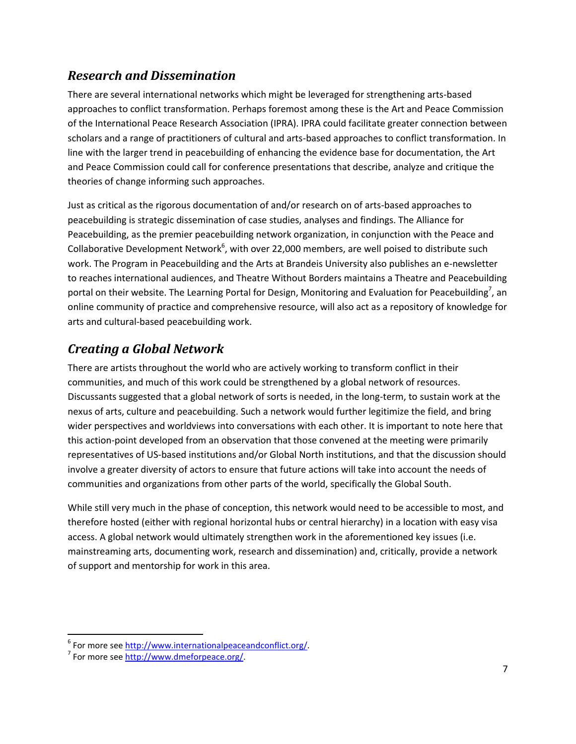### <span id="page-6-0"></span>*Research and Dissemination*

There are several international networks which might be leveraged for strengthening arts-based approaches to conflict transformation. Perhaps foremost among these is the Art and Peace Commission of the International Peace Research Association (IPRA). IPRA could facilitate greater connection between scholars and a range of practitioners of cultural and arts-based approaches to conflict transformation. In line with the larger trend in peacebuilding of enhancing the evidence base for documentation, the Art and Peace Commission could call for conference presentations that describe, analyze and critique the theories of change informing such approaches.

Just as critical as the rigorous documentation of and/or research on of arts-based approaches to peacebuilding is strategic dissemination of case studies, analyses and findings. The Alliance for Peacebuilding, as the premier peacebuilding network organization, in conjunction with the Peace and Collaborative Development Network<sup>6</sup>, with over 22,000 members, are well poised to distribute such work. The Program in Peacebuilding and the Arts at Brandeis University also publishes an e-newsletter to reaches international audiences, and Theatre Without Borders maintains a Theatre and Peacebuilding portal on their website. The Learning Portal for Design, Monitoring and Evaluation for Peacebuilding<sup>7</sup>, an online community of practice and comprehensive resource, will also act as a repository of knowledge for arts and cultural-based peacebuilding work.

### <span id="page-6-1"></span>*Creating a Global Network*

There are artists throughout the world who are actively working to transform conflict in their communities, and much of this work could be strengthened by a global network of resources. Discussants suggested that a global network of sorts is needed, in the long-term, to sustain work at the nexus of arts, culture and peacebuilding. Such a network would further legitimize the field, and bring wider perspectives and worldviews into conversations with each other. It is important to note here that this action-point developed from an observation that those convened at the meeting were primarily representatives of US-based institutions and/or Global North institutions, and that the discussion should involve a greater diversity of actors to ensure that future actions will take into account the needs of communities and organizations from other parts of the world, specifically the Global South.

While still very much in the phase of conception, this network would need to be accessible to most, and therefore hosted (either with regional horizontal hubs or central hierarchy) in a location with easy visa access. A global network would ultimately strengthen work in the aforementioned key issues (i.e. mainstreaming arts, documenting work, research and dissemination) and, critically, provide a network of support and mentorship for work in this area.

 $\overline{\phantom{a}}$ <sup>6</sup> For more see [http://www.internationalpeaceandconflict.org/.](http://www.internationalpeaceandconflict.org/)

<sup>&</sup>lt;sup>7</sup> For more see [http://www.dmeforpeace.org/.](http://www.dmeforpeace.org/)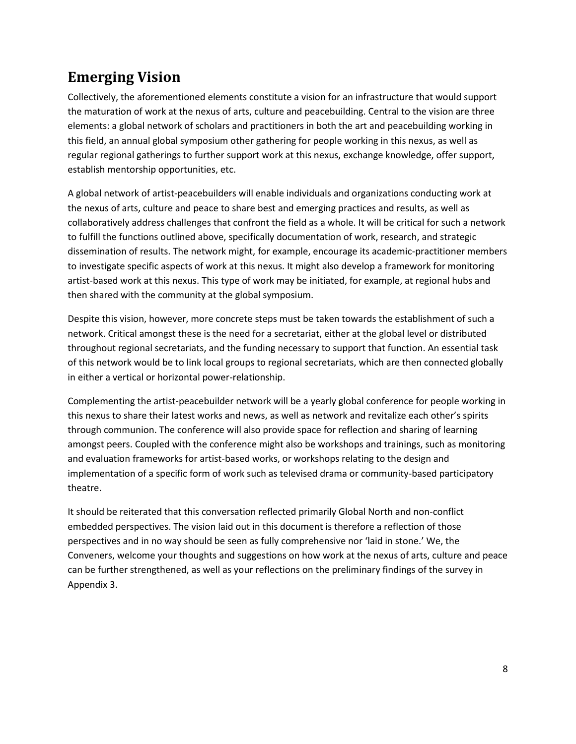# <span id="page-7-0"></span>**Emerging Vision**

Collectively, the aforementioned elements constitute a vision for an infrastructure that would support the maturation of work at the nexus of arts, culture and peacebuilding. Central to the vision are three elements: a global network of scholars and practitioners in both the art and peacebuilding working in this field, an annual global symposium other gathering for people working in this nexus, as well as regular regional gatherings to further support work at this nexus, exchange knowledge, offer support, establish mentorship opportunities, etc.

A global network of artist-peacebuilders will enable individuals and organizations conducting work at the nexus of arts, culture and peace to share best and emerging practices and results, as well as collaboratively address challenges that confront the field as a whole. It will be critical for such a network to fulfill the functions outlined above, specifically documentation of work, research, and strategic dissemination of results. The network might, for example, encourage its academic-practitioner members to investigate specific aspects of work at this nexus. It might also develop a framework for monitoring artist-based work at this nexus. This type of work may be initiated, for example, at regional hubs and then shared with the community at the global symposium.

Despite this vision, however, more concrete steps must be taken towards the establishment of such a network. Critical amongst these is the need for a secretariat, either at the global level or distributed throughout regional secretariats, and the funding necessary to support that function. An essential task of this network would be to link local groups to regional secretariats, which are then connected globally in either a vertical or horizontal power-relationship.

Complementing the artist-peacebuilder network will be a yearly global conference for people working in this nexus to share their latest works and news, as well as network and revitalize each other's spirits through communion. The conference will also provide space for reflection and sharing of learning amongst peers. Coupled with the conference might also be workshops and trainings, such as monitoring and evaluation frameworks for artist-based works, or workshops relating to the design and implementation of a specific form of work such as televised drama or community-based participatory theatre.

It should be reiterated that this conversation reflected primarily Global North and non-conflict embedded perspectives. The vision laid out in this document is therefore a reflection of those perspectives and in no way should be seen as fully comprehensive nor 'laid in stone.' We, the Conveners, welcome your thoughts and suggestions on how work at the nexus of arts, culture and peace can be further strengthened, as well as your reflections on the preliminary findings of the survey in Appendix 3.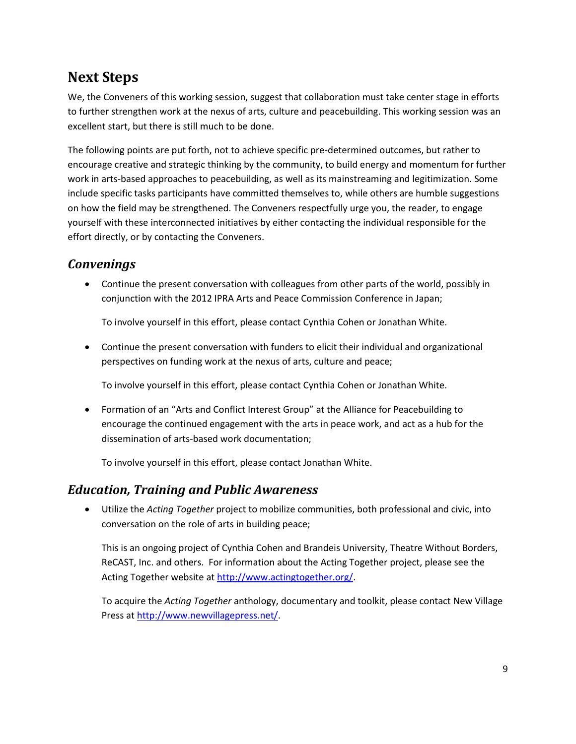# <span id="page-8-0"></span>**Next Steps**

We, the Conveners of this working session, suggest that collaboration must take center stage in efforts to further strengthen work at the nexus of arts, culture and peacebuilding. This working session was an excellent start, but there is still much to be done.

The following points are put forth, not to achieve specific pre-determined outcomes, but rather to encourage creative and strategic thinking by the community, to build energy and momentum for further work in arts-based approaches to peacebuilding, as well as its mainstreaming and legitimization. Some include specific tasks participants have committed themselves to, while others are humble suggestions on how the field may be strengthened. The Conveners respectfully urge you, the reader, to engage yourself with these interconnected initiatives by either contacting the individual responsible for the effort directly, or by contacting the Conveners.

### <span id="page-8-1"></span>*Convenings*

 Continue the present conversation with colleagues from other parts of the world, possibly in conjunction with the 2012 IPRA Arts and Peace Commission Conference in Japan;

To involve yourself in this effort, please contact Cynthia Cohen or Jonathan White.

 Continue the present conversation with funders to elicit their individual and organizational perspectives on funding work at the nexus of arts, culture and peace;

To involve yourself in this effort, please contact Cynthia Cohen or Jonathan White.

 Formation of an "Arts and Conflict Interest Group" at the Alliance for Peacebuilding to encourage the continued engagement with the arts in peace work, and act as a hub for the dissemination of arts-based work documentation;

To involve yourself in this effort, please contact Jonathan White.

### <span id="page-8-2"></span>*Education, Training and Public Awareness*

 Utilize the *Acting Together* project to mobilize communities, both professional and civic, into conversation on the role of arts in building peace;

This is an ongoing project of Cynthia Cohen and Brandeis University, Theatre Without Borders, ReCAST, Inc. and others. For information about the Acting Together project, please see the Acting Together website at [http://www.actingtogether.org/.](http://www.actingtogether.org/)

To acquire the *Acting Together* anthology, documentary and toolkit, please contact New Village Press a[t http://www.newvillagepress.net/.](http://www.newvillagepress.net/)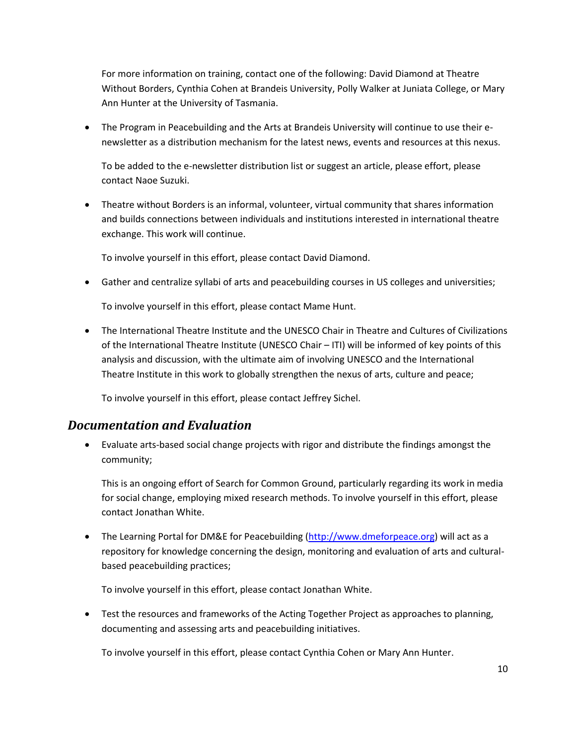For more information on training, contact one of the following: David Diamond at Theatre Without Borders, Cynthia Cohen at Brandeis University, Polly Walker at Juniata College, or Mary Ann Hunter at the University of Tasmania.

 The Program in Peacebuilding and the Arts at Brandeis University will continue to use their enewsletter as a distribution mechanism for the latest news, events and resources at this nexus.

To be added to the e-newsletter distribution list or suggest an article, please effort, please contact Naoe Suzuki.

 Theatre without Borders is an informal, volunteer, virtual community that shares information and builds connections between individuals and institutions interested in international theatre exchange. This work will continue.

To involve yourself in this effort, please contact David Diamond.

Gather and centralize syllabi of arts and peacebuilding courses in US colleges and universities;

To involve yourself in this effort, please contact Mame Hunt.

 The International Theatre Institute and the UNESCO Chair in Theatre and Cultures of Civilizations of the International Theatre Institute (UNESCO Chair – ITI) will be informed of key points of this analysis and discussion, with the ultimate aim of involving UNESCO and the International Theatre Institute in this work to globally strengthen the nexus of arts, culture and peace;

To involve yourself in this effort, please contact Jeffrey Sichel.

### <span id="page-9-0"></span>*Documentation and Evaluation*

 Evaluate arts-based social change projects with rigor and distribute the findings amongst the community;

This is an ongoing effort of Search for Common Ground, particularly regarding its work in media for social change, employing mixed research methods. To involve yourself in this effort, please contact Jonathan White.

• The Learning Portal for DM&E for Peacebuilding [\(http://www.dmeforpeace.org\)](http://www.dmeforpeace.org/) will act as a repository for knowledge concerning the design, monitoring and evaluation of arts and culturalbased peacebuilding practices;

To involve yourself in this effort, please contact Jonathan White.

 Test the resources and frameworks of the Acting Together Project as approaches to planning, documenting and assessing arts and peacebuilding initiatives.

To involve yourself in this effort, please contact Cynthia Cohen or Mary Ann Hunter.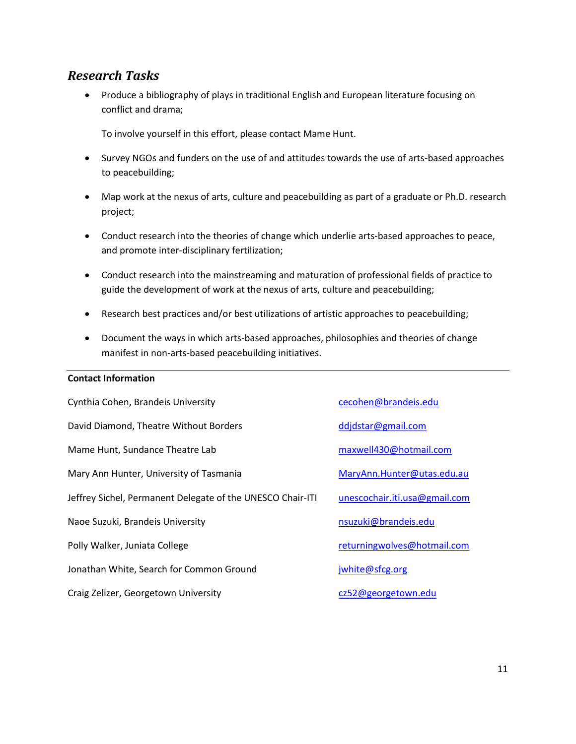### <span id="page-10-0"></span>*Research Tasks*

 Produce a bibliography of plays in traditional English and European literature focusing on conflict and drama;

To involve yourself in this effort, please contact Mame Hunt.

- Survey NGOs and funders on the use of and attitudes towards the use of arts-based approaches to peacebuilding;
- Map work at the nexus of arts, culture and peacebuilding as part of a graduate or Ph.D. research project;
- Conduct research into the theories of change which underlie arts-based approaches to peace, and promote inter-disciplinary fertilization;
- Conduct research into the mainstreaming and maturation of professional fields of practice to guide the development of work at the nexus of arts, culture and peacebuilding;
- Research best practices and/or best utilizations of artistic approaches to peacebuilding;
- Document the ways in which arts-based approaches, philosophies and theories of change manifest in non-arts-based peacebuilding initiatives.

#### **Contact Information**

| Cynthia Cohen, Brandeis University                         | cecohen@brandeis.edu          |
|------------------------------------------------------------|-------------------------------|
| David Diamond, Theatre Without Borders                     | ddjdstar@gmail.com            |
| Mame Hunt, Sundance Theatre Lab                            | maxwell430@hotmail.com        |
| Mary Ann Hunter, University of Tasmania                    | MaryAnn.Hunter@utas.edu.au    |
| Jeffrey Sichel, Permanent Delegate of the UNESCO Chair-ITI | unescochair.iti.usa@gmail.com |
| Naoe Suzuki, Brandeis University                           | nsuzuki@brandeis.edu          |
| Polly Walker, Juniata College                              | returningwolves@hotmail.com   |
| Jonathan White, Search for Common Ground                   | jwhite@sfcg.org               |
| Craig Zelizer, Georgetown University                       | cz52@georgetown.edu           |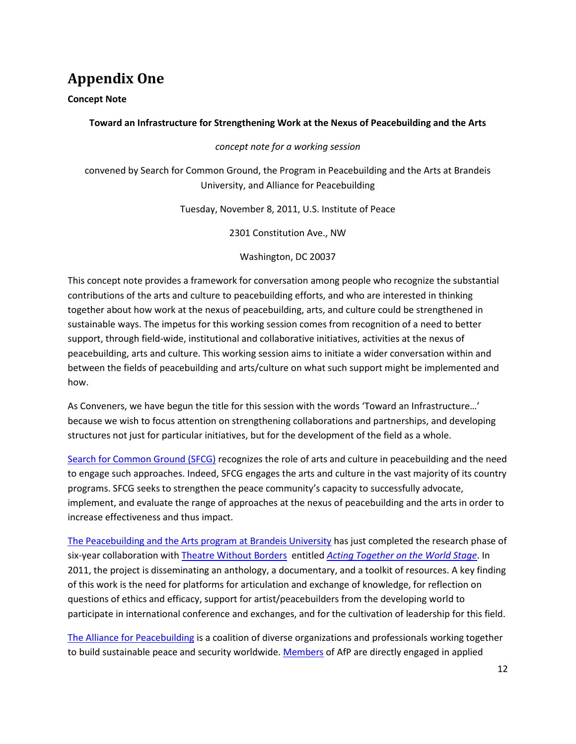# <span id="page-11-0"></span>**Appendix One**

**Concept Note**

#### **Toward an Infrastructure for Strengthening Work at the Nexus of Peacebuilding and the Arts**

#### *concept note for a working session*

convened by Search for Common Ground, the Program in Peacebuilding and the Arts at Brandeis University, and Alliance for Peacebuilding

Tuesday, November 8, 2011, U.S. Institute of Peace

2301 Constitution Ave., NW

Washington, DC 20037

This concept note provides a framework for conversation among people who recognize the substantial contributions of the arts and culture to peacebuilding efforts, and who are interested in thinking together about how work at the nexus of peacebuilding, arts, and culture could be strengthened in sustainable ways. The impetus for this working session comes from recognition of a need to better support, through field-wide, institutional and collaborative initiatives, activities at the nexus of peacebuilding, arts and culture. This working session aims to initiate a wider conversation within and between the fields of peacebuilding and arts/culture on what such support might be implemented and how.

As Conveners, we have begun the title for this session with the words 'Toward an Infrastructure…' because we wish to focus attention on strengthening collaborations and partnerships, and developing structures not just for particular initiatives, but for the development of the field as a whole.

[Search for Common Ground \(SFCG\)](http://www.sfcg.org/) recognizes the role of arts and culture in peacebuilding and the need to engage such approaches. Indeed, SFCG engages the arts and culture in the vast majority of its country programs. SFCG seeks to strengthen the peace community's capacity to successfully advocate, implement, and evaluate the range of approaches at the nexus of peacebuilding and the arts in order to increase effectiveness and thus impact.

[The Peacebuilding and the Arts program at Brandeis University](http://www.brandeis.edu/ethics/peacebuildingarts/index.html) has just completed the research phase of six-year collaboration with [Theatre Without Borders](http://www.theatrewithoutborders.com/) entitled *[Acting Together on the World Stage](http://www.brandeis.edu/ethics/peacebuildingarts/actingtogether/index.html)*. In 2011, the project is disseminating an anthology, a documentary, and a toolkit of resources. A key finding of this work is the need for platforms for articulation and exchange of knowledge, for reflection on questions of ethics and efficacy, support for artist/peacebuilders from the developing world to participate in international conference and exchanges, and for the cultivation of leadership for this field.

[The Alliance for Peacebuilding](http://www.allianceforpeacebuilding.org/) is a coalition of diverse organizations and professionals working together to build sustainable peace and security worldwide. [Members](http://afpb.site-ym.com/?page=mem_ourmembers) of AfP are directly engaged in applied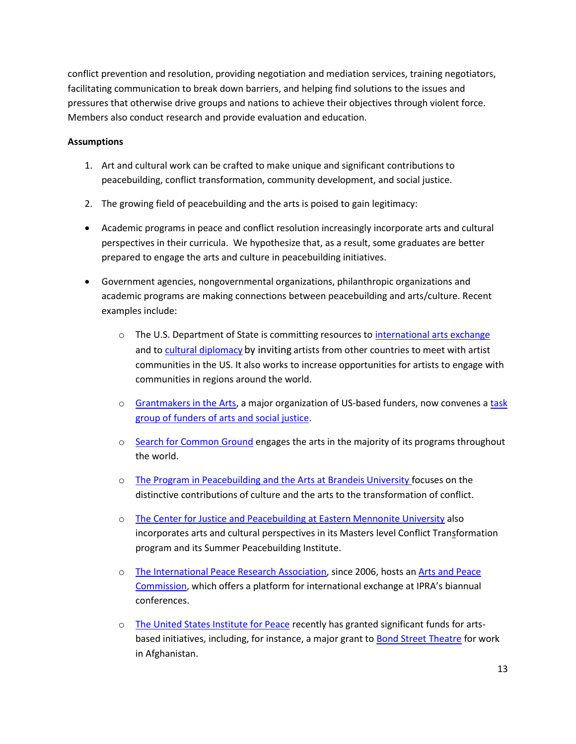conflict prevention and resolution, providing negotiation and mediation services, training negotiators, facilitating communication to break down barriers, and helping find solutions to the issues and pressures that otherwise drive groups and nations to achieve their objectives through violent force. Members also conduct research and provide evaluation and education.

#### **Assumptions**

- 1. Art and cultural work can be crafted to make unique and significant contributions to peacebuilding, conflict transformation, community development, and social justice.
- 2. The growing field of peacebuilding and the arts is poised to gain legitimacy:
- Academic programs in peace and conflict resolution increasingly incorporate arts and cultural perspectives in their curricula. We hypothesize that, as a result, some graduates are better prepared to engage the arts and culture in peacebuilding initiatives.
- Government agencies, nongovernmental organizations, philanthropic organizations and academic programs are making connections between peacebuilding and arts/culture. Recent examples include:
	- o The U.S. Department of State is committing resources to *international arts exchange* and to [cultural diplomacy](http://exchanges.state.gov/) by inviting artists from other countries to meet with artist communities in the US. It also works to increase opportunities for artists to engage with communities in regions around the world.
	- o [Grantmakers in the Arts,](http://www.google.com/url?sa=t&source=web&cd=1&ved=0CBkQFjAA&url=http%3A%2F%2Fwww.giarts.org%2F&ei=EY5zTqOPK4rJ0AGhvZTxDQ&usg=AFQjCNHJXxTkf7blyDbNFL7wVLWH7g2yEg&sig2=7rO9qv7YeWlbAdj8dOHYkQ) a major organization of US-based funders, now convenes a [task](http://www.giarts.org/arts-social-justice)  [group of funders of arts and social justice.](http://www.giarts.org/arts-social-justice)
	- o [Search for Common Ground](http://www.sfcg.org/) engages the arts in the majority of its programs throughout the world.
	- o [The Program in Peacebuilding and the Arts at Brandeis University](http://www.brandeis.edu/ethics/peacebuildingarts/index.html) focuses on the distinctive contributions of culture and the arts to the transformation of conflict.
	- o [The Center for Justice and Peacebuilding at Eastern Mennonite University](http://www.emu.edu/cjp/) also incorporates arts and cultural perspectives in its Masters level Conflict Transformation program and its Summer Peacebuilding Institute.
	- o [The International Peace Research Association,](http://www.iprafoundation.org/) since 2006, hosts an [Arts and Peace](http://www.tapnetwork.org/)  [Commission](http://www.tapnetwork.org/), which offers a platform for international exchange at IPRA's biannual conferences.
	- o [The United States Institute for Peace](http://www.usip.org/issue-areas/arts-and-peacebuilding) recently has granted significant funds for artsbased initiatives, including, for instance, a major grant to **Bond Street Theatre** for work in Afghanistan.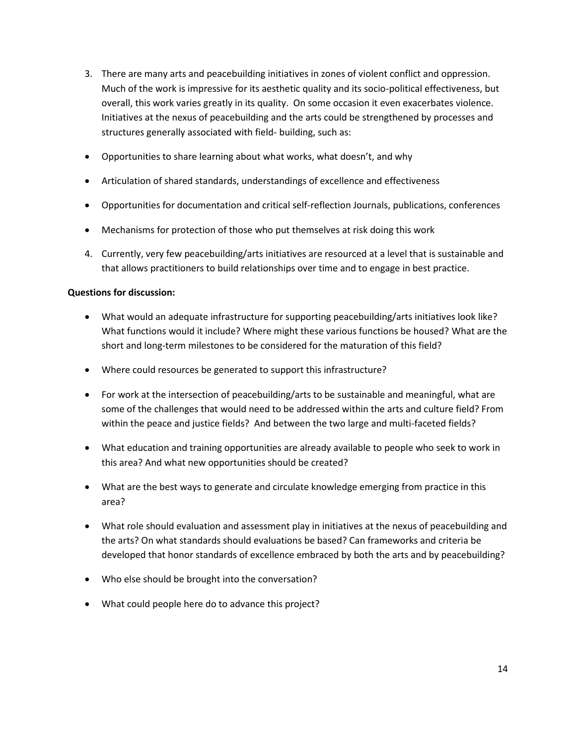- 3. There are many arts and peacebuilding initiatives in zones of violent conflict and oppression. Much of the work is impressive for its aesthetic quality and its socio-political effectiveness, but overall, this work varies greatly in its quality. On some occasion it even exacerbates violence. Initiatives at the nexus of peacebuilding and the arts could be strengthened by processes and structures generally associated with field- building, such as:
- Opportunities to share learning about what works, what doesn't, and why
- Articulation of shared standards, understandings of excellence and effectiveness
- Opportunities for documentation and critical self-reflection Journals, publications, conferences
- Mechanisms for protection of those who put themselves at risk doing this work
- 4. Currently, very few peacebuilding/arts initiatives are resourced at a level that is sustainable and that allows practitioners to build relationships over time and to engage in best practice.

#### **Questions for discussion:**

- What would an adequate infrastructure for supporting peacebuilding/arts initiatives look like? What functions would it include? Where might these various functions be housed? What are the short and long-term milestones to be considered for the maturation of this field?
- Where could resources be generated to support this infrastructure?
- For work at the intersection of peacebuilding/arts to be sustainable and meaningful, what are some of the challenges that would need to be addressed within the arts and culture field? From within the peace and justice fields? And between the two large and multi-faceted fields?
- What education and training opportunities are already available to people who seek to work in this area? And what new opportunities should be created?
- What are the best ways to generate and circulate knowledge emerging from practice in this area?
- What role should evaluation and assessment play in initiatives at the nexus of peacebuilding and the arts? On what standards should evaluations be based? Can frameworks and criteria be developed that honor standards of excellence embraced by both the arts and by peacebuilding?
- Who else should be brought into the conversation?
- What could people here do to advance this project?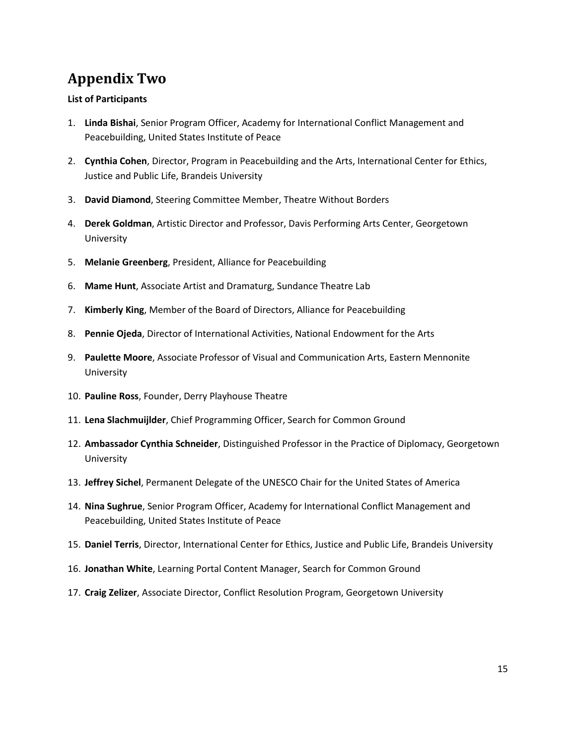# <span id="page-14-0"></span>**Appendix Two**

#### **List of Participants**

- 1. **Linda Bishai**, Senior Program Officer, Academy for International Conflict Management and Peacebuilding, United States Institute of Peace
- 2. **Cynthia Cohen**, Director, Program in Peacebuilding and the Arts, International Center for Ethics, Justice and Public Life, Brandeis University
- 3. **David Diamond**, Steering Committee Member, Theatre Without Borders
- 4. **Derek Goldman**, Artistic Director and Professor, Davis Performing Arts Center, Georgetown University
- 5. **Melanie Greenberg**, President, Alliance for Peacebuilding
- 6. **Mame Hunt**, Associate Artist and Dramaturg, Sundance Theatre Lab
- 7. **Kimberly King**, Member of the Board of Directors, Alliance for Peacebuilding
- 8. **Pennie Ojeda**, Director of International Activities, National Endowment for the Arts
- 9. **Paulette Moore**, Associate Professor of Visual and Communication Arts, Eastern Mennonite University
- 10. **Pauline Ross**, Founder, Derry Playhouse Theatre
- 11. **Lena Slachmuijlder**, Chief Programming Officer, Search for Common Ground
- 12. **Ambassador Cynthia Schneider**, Distinguished Professor in the Practice of Diplomacy, Georgetown University
- 13. **Jeffrey Sichel**, Permanent Delegate of the UNESCO Chair for the United States of America
- 14. **Nina Sughrue**, Senior Program Officer, Academy for International Conflict Management and Peacebuilding, United States Institute of Peace
- 15. **Daniel Terris**, Director, International Center for Ethics, Justice and Public Life, Brandeis University
- 16. **Jonathan White**, Learning Portal Content Manager, Search for Common Ground
- 17. **Craig Zelizer**, Associate Director, Conflict Resolution Program, Georgetown University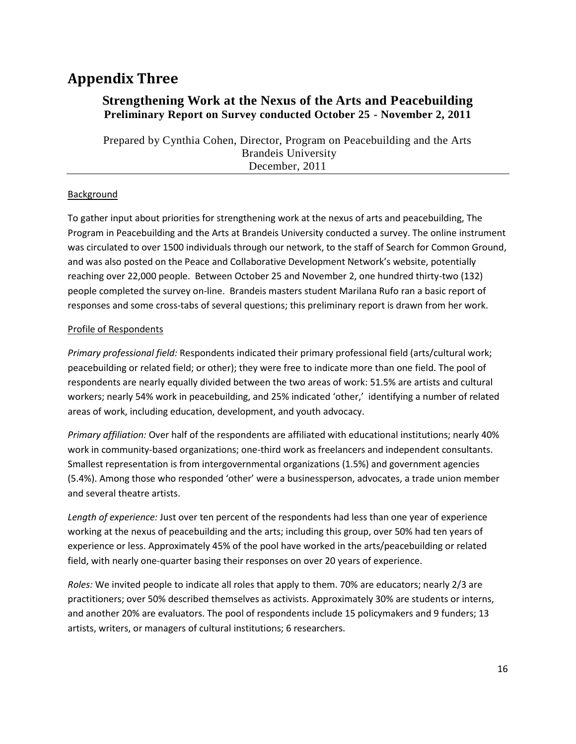## <span id="page-15-0"></span>**Appendix Three**

#### **Strengthening Work at the Nexus of the Arts and Peacebuilding Preliminary Report on Survey conducted October 25 - November 2, 2011**

Prepared by Cynthia Cohen, Director, Program on Peacebuilding and the Arts Brandeis University December, 2011

#### Background

To gather input about priorities for strengthening work at the nexus of arts and peacebuilding, The Program in Peacebuilding and the Arts at Brandeis University conducted a survey. The online instrument was circulated to over 1500 individuals through our network, to the staff of Search for Common Ground, and was also posted on the Peace and Collaborative Development Network's website, potentially reaching over 22,000 people. Between October 25 and November 2, one hundred thirty-two (132) people completed the survey on-line. Brandeis masters student Marilana Rufo ran a basic report of responses and some cross-tabs of several questions; this preliminary report is drawn from her work.

#### Profile of Respondents

*Primary professional field:* Respondents indicated their primary professional field (arts/cultural work; peacebuilding or related field; or other); they were free to indicate more than one field. The pool of respondents are nearly equally divided between the two areas of work: 51.5% are artists and cultural workers; nearly 54% work in peacebuilding, and 25% indicated 'other,' identifying a number of related areas of work, including education, development, and youth advocacy.

*Primary affiliation:* Over half of the respondents are affiliated with educational institutions; nearly 40% work in community-based organizations; one-third work as freelancers and independent consultants. Smallest representation is from intergovernmental organizations (1.5%) and government agencies (5.4%). Among those who responded 'other' were a businessperson, advocates, a trade union member and several theatre artists.

*Length of experience:* Just over ten percent of the respondents had less than one year of experience working at the nexus of peacebuilding and the arts; including this group, over 50% had ten years of experience or less. Approximately 45% of the pool have worked in the arts/peacebuilding or related field, with nearly one-quarter basing their responses on over 20 years of experience.

*Roles:* We invited people to indicate all roles that apply to them. 70% are educators; nearly 2/3 are practitioners; over 50% described themselves as activists. Approximately 30% are students or interns, and another 20% are evaluators. The pool of respondents include 15 policymakers and 9 funders; 13 artists, writers, or managers of cultural institutions; 6 researchers.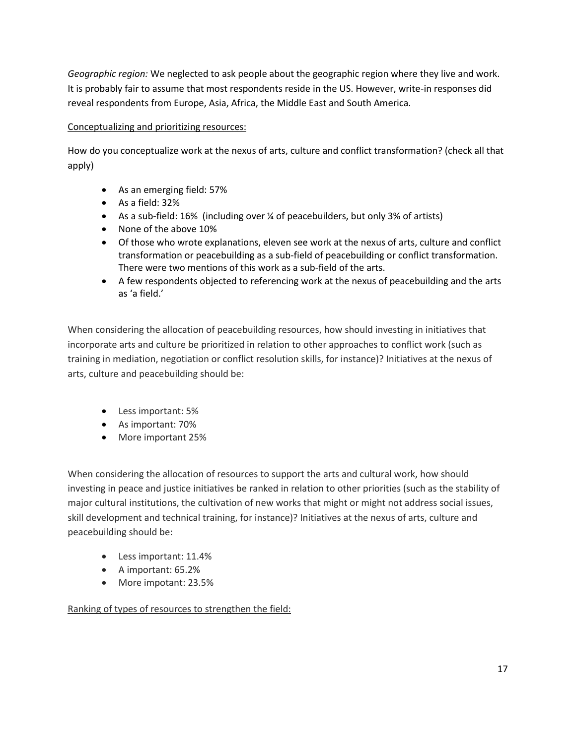*Geographic region:* We neglected to ask people about the geographic region where they live and work. It is probably fair to assume that most respondents reside in the US. However, write-in responses did reveal respondents from Europe, Asia, Africa, the Middle East and South America.

#### Conceptualizing and prioritizing resources:

How do you conceptualize work at the nexus of arts, culture and conflict transformation? (check all that apply)

- As an emerging field: 57%
- As a field: 32%
- As a sub-field: 16% (including over ¼ of peacebuilders, but only 3% of artists)
- None of the above 10%
- Of those who wrote explanations, eleven see work at the nexus of arts, culture and conflict transformation or peacebuilding as a sub-field of peacebuilding or conflict transformation. There were two mentions of this work as a sub-field of the arts.
- A few respondents objected to referencing work at the nexus of peacebuilding and the arts as 'a field.'

When considering the allocation of peacebuilding resources, how should investing in initiatives that incorporate arts and culture be prioritized in relation to other approaches to conflict work (such as training in mediation, negotiation or conflict resolution skills, for instance)? Initiatives at the nexus of arts, culture and peacebuilding should be:

- Less important: 5%
- As important: 70%
- More important 25%

When considering the allocation of resources to support the arts and cultural work, how should investing in peace and justice initiatives be ranked in relation to other priorities (such as the stability of major cultural institutions, the cultivation of new works that might or might not address social issues, skill development and technical training, for instance)? Initiatives at the nexus of arts, culture and peacebuilding should be:

- Less important: 11.4%
- A important: 65.2%
- More impotant: 23.5%

Ranking of types of resources to strengthen the field: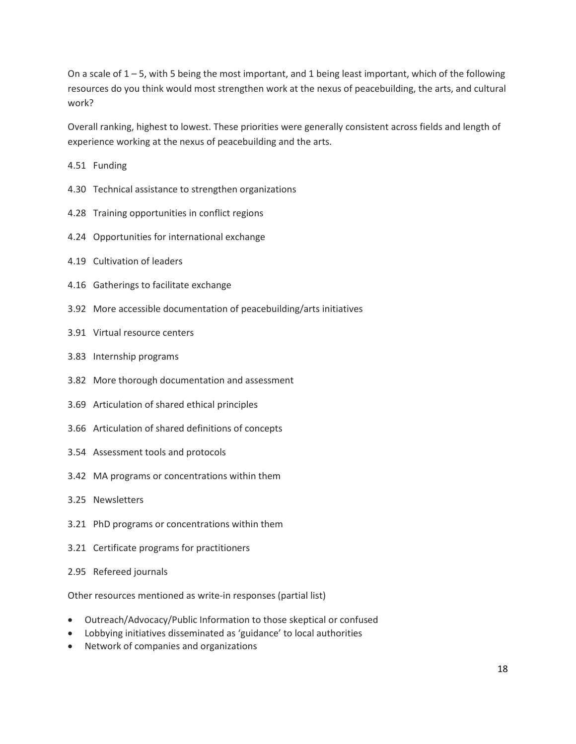On a scale of 1 – 5, with 5 being the most important, and 1 being least important, which of the following resources do you think would most strengthen work at the nexus of peacebuilding, the arts, and cultural work?

Overall ranking, highest to lowest. These priorities were generally consistent across fields and length of experience working at the nexus of peacebuilding and the arts.

- 4.51 Funding
- 4.30 Technical assistance to strengthen organizations
- 4.28 Training opportunities in conflict regions
- 4.24 Opportunities for international exchange
- 4.19 Cultivation of leaders
- 4.16 Gatherings to facilitate exchange
- 3.92 More accessible documentation of peacebuilding/arts initiatives
- 3.91 Virtual resource centers
- 3.83 Internship programs
- 3.82 More thorough documentation and assessment
- 3.69 Articulation of shared ethical principles
- 3.66 Articulation of shared definitions of concepts
- 3.54 Assessment tools and protocols
- 3.42 MA programs or concentrations within them
- 3.25 Newsletters
- 3.21 PhD programs or concentrations within them
- 3.21 Certificate programs for practitioners
- 2.95 Refereed journals

Other resources mentioned as write-in responses (partial list)

- Outreach/Advocacy/Public Information to those skeptical or confused
- Lobbying initiatives disseminated as 'guidance' to local authorities
- Network of companies and organizations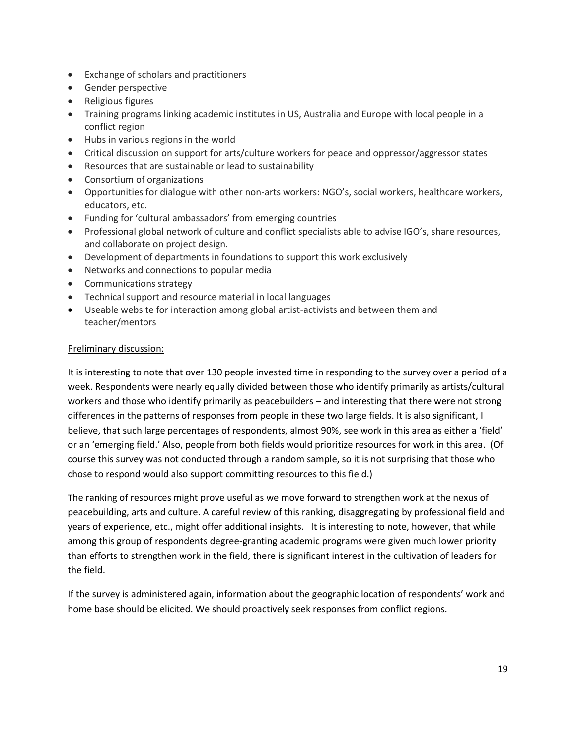- Exchange of scholars and practitioners
- **•** Gender perspective
- Religious figures
- Training programs linking academic institutes in US, Australia and Europe with local people in a conflict region
- Hubs in various regions in the world
- Critical discussion on support for arts/culture workers for peace and oppressor/aggressor states
- Resources that are sustainable or lead to sustainability
- Consortium of organizations
- Opportunities for dialogue with other non-arts workers: NGO's, social workers, healthcare workers, educators, etc.
- Funding for 'cultural ambassadors' from emerging countries
- Professional global network of culture and conflict specialists able to advise IGO's, share resources, and collaborate on project design.
- Development of departments in foundations to support this work exclusively
- Networks and connections to popular media
- Communications strategy
- Technical support and resource material in local languages
- Useable website for interaction among global artist-activists and between them and teacher/mentors

#### Preliminary discussion:

It is interesting to note that over 130 people invested time in responding to the survey over a period of a week. Respondents were nearly equally divided between those who identify primarily as artists/cultural workers and those who identify primarily as peacebuilders – and interesting that there were not strong differences in the patterns of responses from people in these two large fields. It is also significant, I believe, that such large percentages of respondents, almost 90%, see work in this area as either a 'field' or an 'emerging field.' Also, people from both fields would prioritize resources for work in this area. (Of course this survey was not conducted through a random sample, so it is not surprising that those who chose to respond would also support committing resources to this field.)

The ranking of resources might prove useful as we move forward to strengthen work at the nexus of peacebuilding, arts and culture. A careful review of this ranking, disaggregating by professional field and years of experience, etc., might offer additional insights. It is interesting to note, however, that while among this group of respondents degree-granting academic programs were given much lower priority than efforts to strengthen work in the field, there is significant interest in the cultivation of leaders for the field.

If the survey is administered again, information about the geographic location of respondents' work and home base should be elicited. We should proactively seek responses from conflict regions.